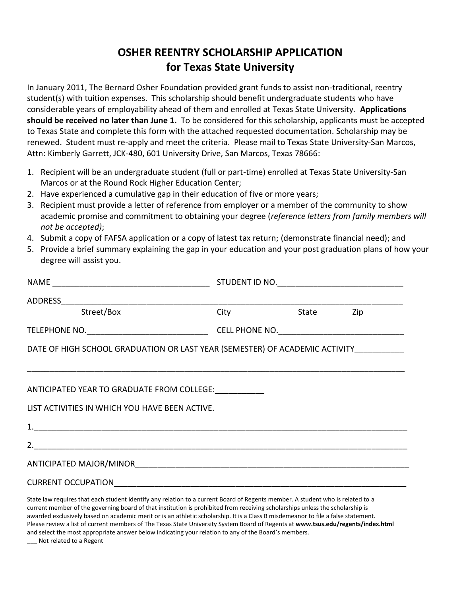## **OSHER REENTRY SCHOLARSHIP APPLICATION for Texas State University**

In January 2011, The Bernard Osher Foundation provided grant funds to assist non-traditional, reentry student(s) with tuition expenses. This scholarship should benefit undergraduate students who have considerable years of employability ahead of them and enrolled at Texas State University. **Applications should be received no later than June 1.** To be considered for this scholarship, applicants must be accepted to Texas State and complete this form with the attached requested documentation. Scholarship may be renewed. Student must re-apply and meet the criteria. Please mail to Texas State University-San Marcos, Attn: Kimberly Garrett, JCK-480, 601 University Drive, San Marcos, Texas 78666:

- 1. Recipient will be an undergraduate student (full or part-time) enrolled at Texas State University-San Marcos or at the Round Rock Higher Education Center;
- 2. Have experienced a cumulative gap in their education of five or more years;
- 3. Recipient must provide a letter of reference from employer or a member of the community to show academic promise and commitment to obtaining your degree (*reference letters from family members will not be accepted)*;
- 4. Submit a copy of FAFSA application or a copy of latest tax return; (demonstrate financial need); and
- 5. Provide a brief summary explaining the gap in your education and your post graduation plans of how your degree will assist you.

| <b>Street/Box</b>                                                                                                                                                                                                                                               |  | City State Zip |  |  |
|-----------------------------------------------------------------------------------------------------------------------------------------------------------------------------------------------------------------------------------------------------------------|--|----------------|--|--|
|                                                                                                                                                                                                                                                                 |  |                |  |  |
| DATE OF HIGH SCHOOL GRADUATION OR LAST YEAR (SEMESTER) OF ACADEMIC ACTIVITY__________                                                                                                                                                                           |  |                |  |  |
|                                                                                                                                                                                                                                                                 |  |                |  |  |
|                                                                                                                                                                                                                                                                 |  |                |  |  |
| ANTICIPATED YEAR TO GRADUATE FROM COLLEGE:                                                                                                                                                                                                                      |  |                |  |  |
| LIST ACTIVITIES IN WHICH YOU HAVE BEEN ACTIVE.                                                                                                                                                                                                                  |  |                |  |  |
|                                                                                                                                                                                                                                                                 |  |                |  |  |
|                                                                                                                                                                                                                                                                 |  |                |  |  |
|                                                                                                                                                                                                                                                                 |  |                |  |  |
|                                                                                                                                                                                                                                                                 |  |                |  |  |
| State law requires that each student identify any relation to a current Board of Regents member. A student who is related to a<br>current member of the governing board of that institution is prohibited from receiving scholarships unless the scholarship is |  |                |  |  |

current member of the governing board of that institution is prohibited from receiving scholarships unless the scholarship is awarded exclusively based on academic merit or is an athletic scholarship. It is a Class B misdemeanor to file a false statement. Please review a list of current members of The Texas State University System Board of Regents at **www.tsus.edu/regents/index.html**  and select the most appropriate answer below indicating your relation to any of the Board's members.

\_\_\_ Not related to a Regent